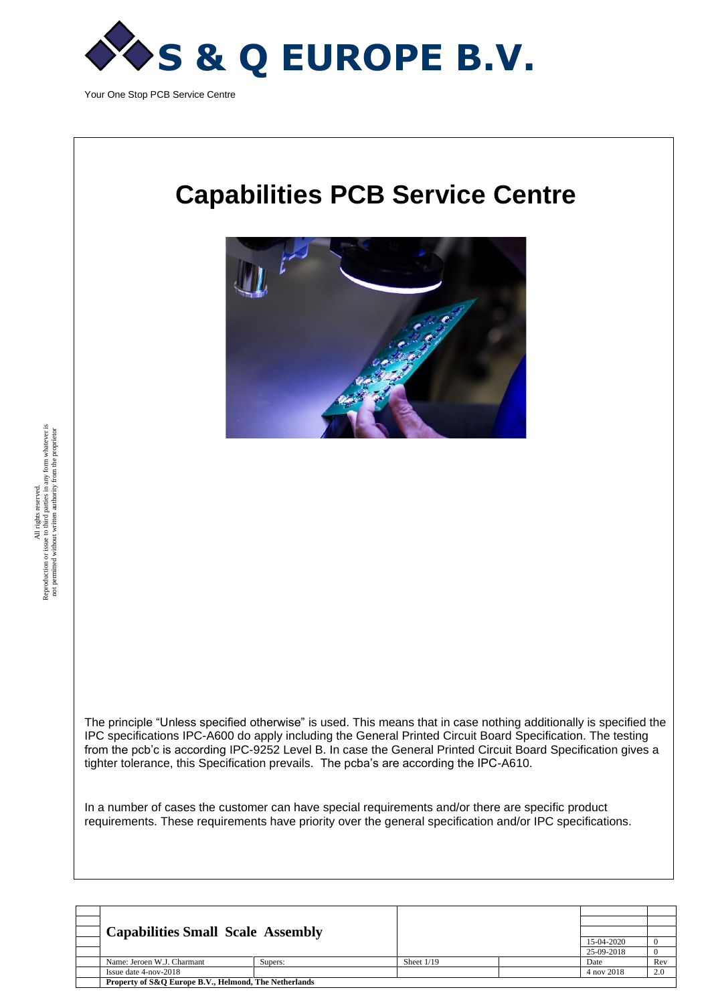

# **Capabilities PCB Service Centre**



The principle "Unless specified otherwise" is used. This means that in case nothing additionally is specified the IPC specifications IPC-A600 do apply including the General Printed Circuit Board Specification. The testing from the pcb'c is according IPC-9252 Level B. In case the General Printed Circuit Board Specification gives a tighter tolerance, this Specification prevails. The pcba's are according the IPC-A610.

In a number of cases the customer can have special requirements and/or there are specific product requirements. These requirements have priority over the general specification and/or IPC specifications.

|  | <b>Capabilities Small Scale Assembly</b>              |         |              |  |            |     |
|--|-------------------------------------------------------|---------|--------------|--|------------|-----|
|  |                                                       |         |              |  | 15-04-2020 |     |
|  |                                                       |         |              |  | 25-09-2018 |     |
|  | Name: Jeroen W.J. Charmant                            | Supers: | Sheet $1/19$ |  | Date       | Rev |
|  | Issue date 4-nov-2018                                 |         |              |  | 4 nov 2018 | 2.0 |
|  | Property of S&Q Europe B.V., Helmond, The Netherlands |         |              |  |            |     |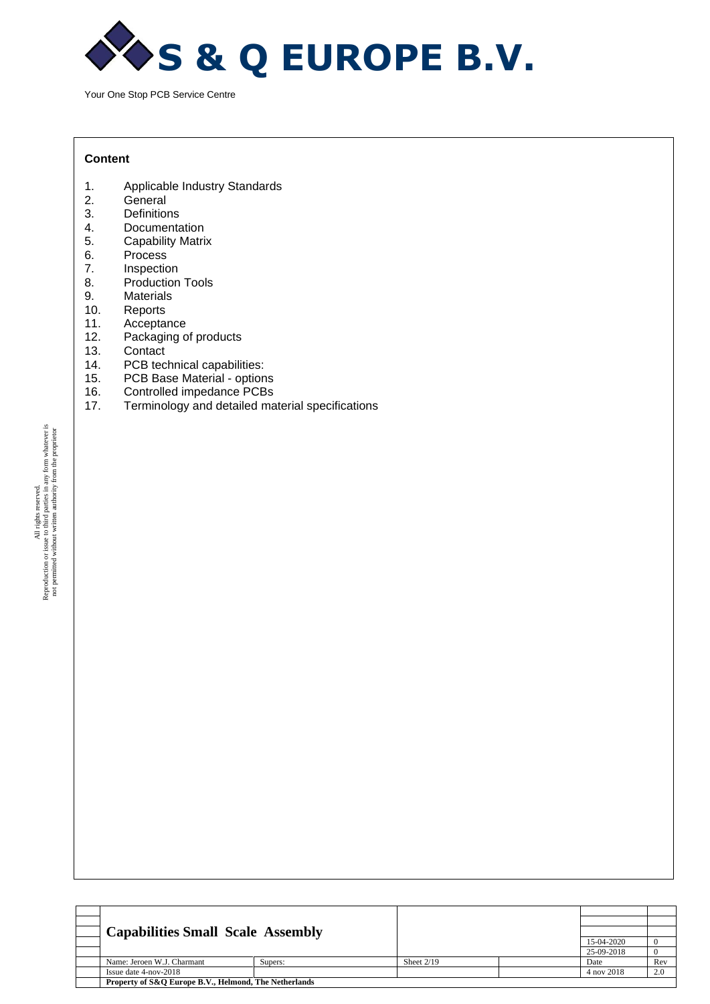

#### **Content**

- 1. Applicable Industry Standards
- 2. General
- 3. Definitions
- 4. Documentation
- 5. Capability Matrix
- 6. Process<br>7. Inspectic
- 7. Inspection<br>8. Production
- 8. Production Tools<br>9. Materials
- 9. Materials<br>10. Reports
- Reports
- 11. Acceptance
- 12. Packaging of products
- 13. Contact
- 14. PCB technical capabilities:
- 15. PCB Base Material options
- 16. Controlled impedance PCBs
- 17. Terminology and detailed material specifications

|  | <b>Capabilities Small Scale Assembly</b>              |         |              |  |            |     |  |
|--|-------------------------------------------------------|---------|--------------|--|------------|-----|--|
|  |                                                       |         |              |  |            |     |  |
|  |                                                       |         |              |  |            |     |  |
|  |                                                       |         |              |  | 15-04-2020 |     |  |
|  |                                                       |         |              |  | 25-09-2018 |     |  |
|  | Name: Jeroen W.J. Charmant                            | Supers: | Sheet $2/19$ |  | Date       | Rev |  |
|  | Issue date $4$ -nov- $2018$                           |         |              |  | 4 nov 2018 | 2.0 |  |
|  | Property of S&Q Europe B.V., Helmond, The Netherlands |         |              |  |            |     |  |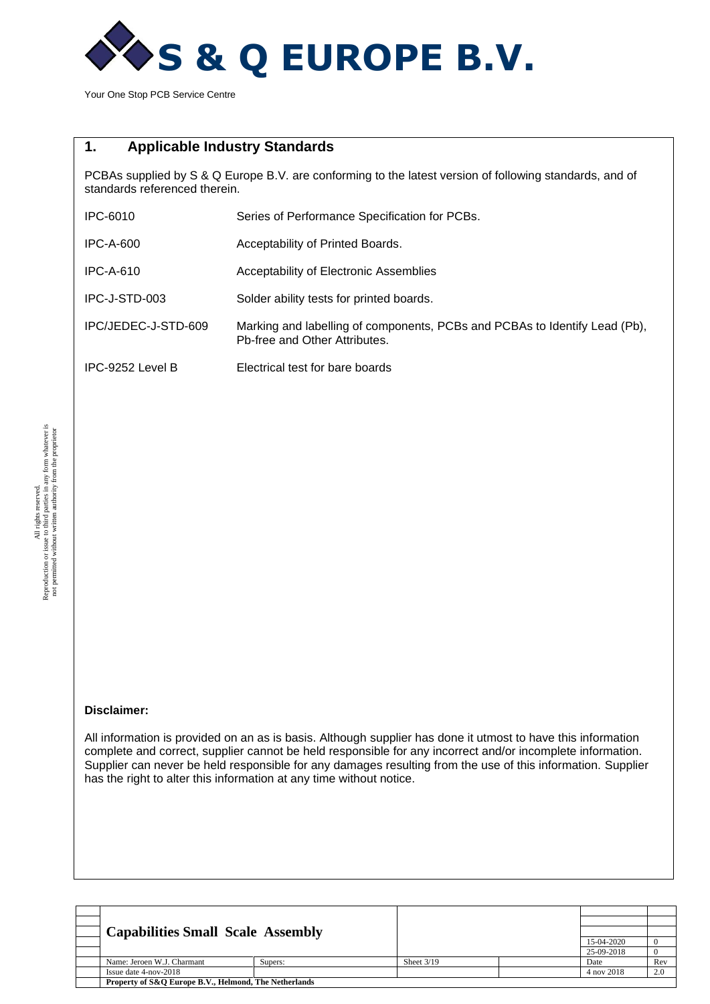

## **1. Applicable Industry Standards**

PCBAs supplied by S & Q Europe B.V. are conforming to the latest version of following standards, and of standards referenced therein.

| <b>IPC-6010</b>     | Series of Performance Specification for PCBs.                                                               |
|---------------------|-------------------------------------------------------------------------------------------------------------|
| <b>IPC-A-600</b>    | Acceptability of Printed Boards.                                                                            |
| $IPC-A-610$         | Acceptability of Electronic Assemblies                                                                      |
| IPC-J-STD-003       | Solder ability tests for printed boards.                                                                    |
| IPC/JEDEC-J-STD-609 | Marking and labelling of components, PCBs and PCBAs to Identify Lead (Pb),<br>Pb-free and Other Attributes. |
| IPC-9252 Level B    | Electrical test for bare boards                                                                             |

#### **Disclaimer:**

All information is provided on an as is basis. Although supplier has done it utmost to have this information complete and correct, supplier cannot be held responsible for any incorrect and/or incomplete information. Supplier can never be held responsible for any damages resulting from the use of this information. Supplier has the right to alter this information at any time without notice.

|  | <b>Capabilities Small Scale Assembly</b>              |         |              |  |            |     |  |
|--|-------------------------------------------------------|---------|--------------|--|------------|-----|--|
|  |                                                       |         |              |  | 15-04-2020 |     |  |
|  |                                                       |         |              |  | 25-09-2018 |     |  |
|  | Name: Jeroen W.J. Charmant                            | Supers: | Sheet $3/19$ |  | Date       | Rev |  |
|  | Issue date 4-nov-2018                                 |         |              |  | 4 nov 2018 | 2.0 |  |
|  | Property of S&Q Europe B.V., Helmond, The Netherlands |         |              |  |            |     |  |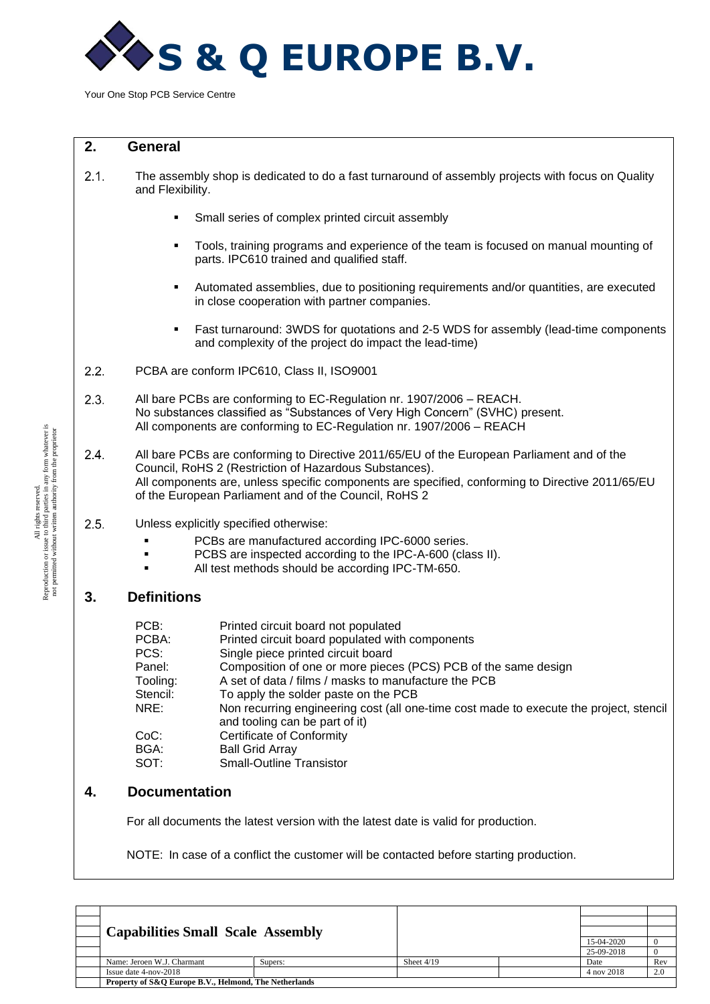

#### **2. General**

- $2.1.$ The assembly shop is dedicated to do a fast turnaround of assembly projects with focus on Quality and Flexibility.
	- Small series of complex printed circuit assembly
	- Tools, training programs and experience of the team is focused on manual mounting of parts. IPC610 trained and qualified staff.
	- Automated assemblies, due to positioning requirements and/or quantities, are executed in close cooperation with partner companies.
	- **■** Fast turnaround: 3WDS for quotations and 2-5 WDS for assembly (lead-time components and complexity of the project do impact the lead-time)
- $2.2.$ PCBA are conform IPC610, Class II, ISO9001
- $2.3.$ All bare PCBs are conforming to EC-Regulation nr. 1907/2006 – REACH. No substances classified as "Substances of Very High Concern" (SVHC) present. All components are conforming to EC-Regulation nr. 1907/2006 – REACH
- $2.4$ All bare PCBs are conforming to Directive 2011/65/EU of the European Parliament and of the Council, RoHS 2 (Restriction of Hazardous Substances). All components are, unless specific components are specified, conforming to Directive 2011/65/EU of the European Parliament and of the Council, RoHS 2
- $2.5.$ Unless explicitly specified otherwise:
	- **PCBs are manufactured according IPC-6000 series.**
	- PCBS are inspected according to the IPC-A-600 (class II).
	- All test methods should be according IPC-TM-650.

#### **3. Definitions**

| PCB:     | Printed circuit board not populated                                                                                      |
|----------|--------------------------------------------------------------------------------------------------------------------------|
| PCBA:    | Printed circuit board populated with components                                                                          |
| PCS:     | Single piece printed circuit board                                                                                       |
| Panel:   | Composition of one or more pieces (PCS) PCB of the same design                                                           |
| Tooling: | A set of data / films / masks to manufacture the PCB                                                                     |
| Stencil: | To apply the solder paste on the PCB                                                                                     |
| NRE:     | Non recurring engineering cost (all one-time cost made to execute the project, stencil<br>and tooling can be part of it) |
| CoC:     | <b>Certificate of Conformity</b>                                                                                         |
| BGA:     | <b>Ball Grid Array</b>                                                                                                   |
| SOT:     | <b>Small-Outline Transistor</b>                                                                                          |

### **4. Documentation**

For all documents the latest version with the latest date is valid for production.

NOTE: In case of a conflict the customer will be contacted before starting production.

|  | <b>Capabilities Small Scale Assembly</b>              |         |              |  |            |     |
|--|-------------------------------------------------------|---------|--------------|--|------------|-----|
|  |                                                       |         |              |  |            |     |
|  |                                                       |         |              |  |            |     |
|  |                                                       |         |              |  | 15-04-2020 |     |
|  |                                                       |         |              |  | 25-09-2018 |     |
|  | Name: Jeroen W.J. Charmant                            | Supers: | Sheet $4/19$ |  | Date       | Rev |
|  | Issue date 4-nov-2018                                 |         |              |  | 4 nov 2018 | 2.0 |
|  | Property of S&O Europe B.V., Helmond, The Netherlands |         |              |  |            |     |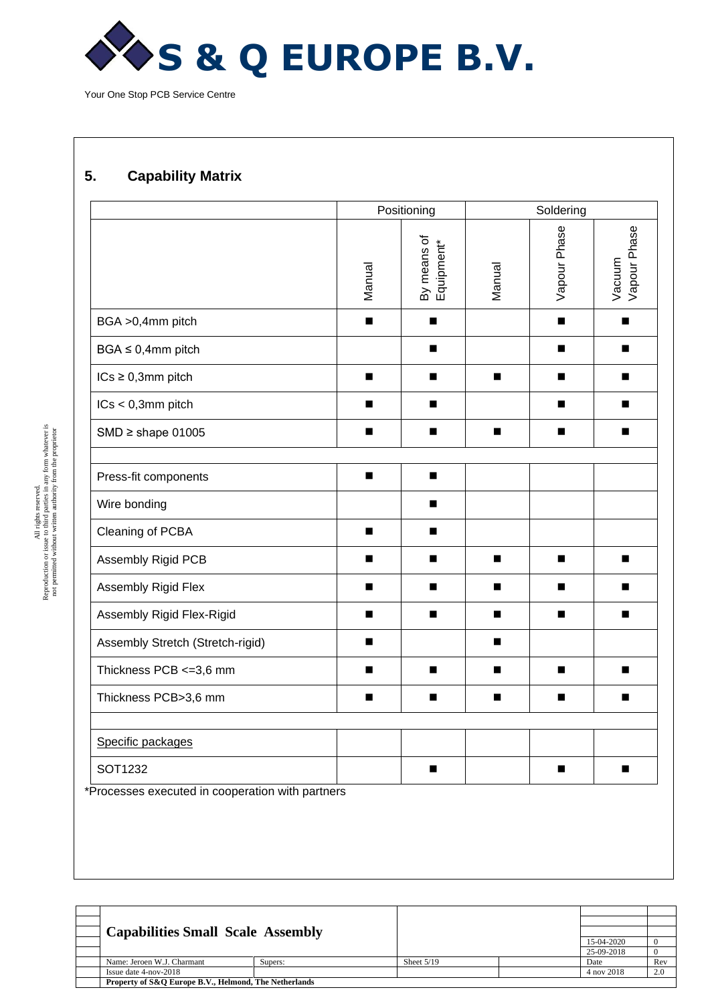

# **5. Capability Matrix**

|                                                             | Positioning    |                           | Soldering      |                |                        |
|-------------------------------------------------------------|----------------|---------------------------|----------------|----------------|------------------------|
|                                                             | Manual         | By means of<br>Equipment* | Manual         | Vapour Phase   | Vapour Phase<br>Vacuum |
| BGA > 0,4mm pitch                                           | $\blacksquare$ | п                         |                | $\blacksquare$ | п                      |
| $BGA \leq 0,4mm$ pitch                                      |                | $\blacksquare$            |                | $\blacksquare$ | п                      |
| $ICs \geq 0,3mm$ pitch                                      | п              | п                         | ■              | п              | $\blacksquare$         |
| ICs < 0,3mm pitch                                           | п              |                           |                | $\blacksquare$ |                        |
| $SMD \geq shape 01005$                                      |                |                           |                |                | $\blacksquare$         |
| Press-fit components                                        | п              | п                         |                |                |                        |
| Wire bonding                                                |                | п                         |                |                |                        |
| Cleaning of PCBA                                            |                |                           |                |                |                        |
| Assembly Rigid PCB                                          | п              | $\blacksquare$            | п              | $\blacksquare$ |                        |
| Assembly Rigid Flex                                         | п              | ■                         | ■              | ■              |                        |
| Assembly Rigid Flex-Rigid                                   | п              | п                         | п              | п              | $\blacksquare$         |
| Assembly Stretch (Stretch-rigid)                            | п              |                           | п              |                |                        |
| Thickness PCB <= 3,6 mm                                     | п              | $\blacksquare$            | п              | $\blacksquare$ | п                      |
| Thickness PCB>3,6 mm                                        | п              | $\blacksquare$            | $\blacksquare$ | п              | $\blacksquare$         |
| Specific packages                                           |                |                           |                |                |                        |
| SOT1232<br>*Dreeseses avocuted in cooperation with partners |                | п                         |                | п              | $\blacksquare$         |

Processes executed in cooperation with partners

|  | <b>Capabilities Small Scale Assembly</b>              |         |              |  |            |     |
|--|-------------------------------------------------------|---------|--------------|--|------------|-----|
|  |                                                       |         |              |  |            |     |
|  |                                                       |         |              |  |            |     |
|  |                                                       |         |              |  | 15-04-2020 |     |
|  |                                                       |         |              |  | 25-09-2018 |     |
|  | Name: Jeroen W.J. Charmant                            | Supers: | Sheet $5/19$ |  | Date       | Rev |
|  | Issue date 4-nov-2018                                 |         |              |  | 4 nov 2018 | 2.0 |
|  | Property of S&Q Europe B.V., Helmond, The Netherlands |         |              |  |            |     |

 $\label{prop:1}$  <br> Reproduction or issue to third parties in any form whatever is not permitted without written authority from the proprietor Reproduction or issue to third parties in any form whatever is not permitted without written authority from the proprietor All rights reserved.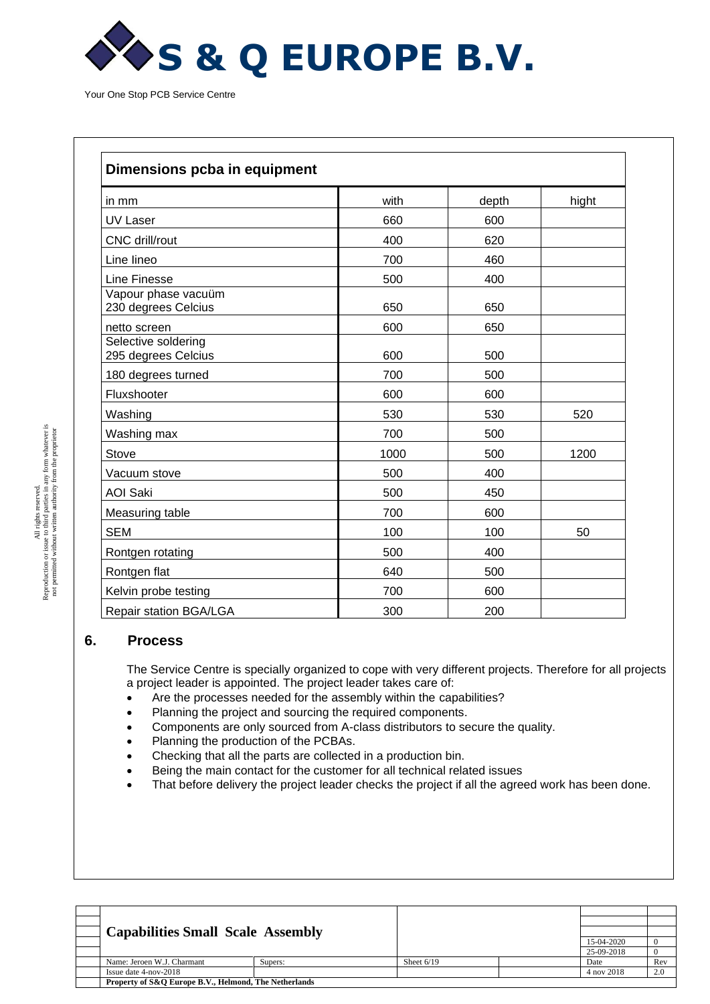

| Dimensions pcba in equipment               |      |       |       |
|--------------------------------------------|------|-------|-------|
| in mm                                      | with | depth | hight |
| <b>UV Laser</b>                            | 660  | 600   |       |
| <b>CNC</b> drill/rout                      | 400  | 620   |       |
| Line lineo                                 | 700  | 460   |       |
| Line Finesse                               | 500  | 400   |       |
| Vapour phase vacuüm<br>230 degrees Celcius | 650  | 650   |       |
| netto screen                               | 600  | 650   |       |
| Selective soldering<br>295 degrees Celcius | 600  | 500   |       |
| 180 degrees turned                         | 700  | 500   |       |
| Fluxshooter                                | 600  | 600   |       |
| Washing                                    | 530  | 530   | 520   |
| Washing max                                | 700  | 500   |       |
| Stove                                      | 1000 | 500   | 1200  |
| Vacuum stove                               | 500  | 400   |       |
| <b>AOI Saki</b>                            | 500  | 450   |       |
| Measuring table                            | 700  | 600   |       |
| <b>SEM</b>                                 | 100  | 100   | 50    |
| Rontgen rotating                           | 500  | 400   |       |
| Rontgen flat                               | 640  | 500   |       |
| Kelvin probe testing                       | 700  | 600   |       |
| Repair station BGA/LGA                     | 300  | 200   |       |

#### **6. Process**

The Service Centre is specially organized to cope with very different projects. Therefore for all projects a project leader is appointed. The project leader takes care of:

- Are the processes needed for the assembly within the capabilities?
- Planning the project and sourcing the required components.
- Components are only sourced from A-class distributors to secure the quality.
- Planning the production of the PCBAs.
- Checking that all the parts are collected in a production bin.
- Being the main contact for the customer for all technical related issues
- That before delivery the project leader checks the project if all the agreed work has been done.

|  | <b>Capabilities Small Scale Assembly</b>              |         |              |  |            |     |  |
|--|-------------------------------------------------------|---------|--------------|--|------------|-----|--|
|  |                                                       |         |              |  | 15-04-2020 |     |  |
|  |                                                       |         |              |  | 25-09-2018 |     |  |
|  | Name: Jeroen W.J. Charmant                            | Supers: | Sheet $6/19$ |  | Date       | Rev |  |
|  | Issue date 4-nov-2018                                 |         |              |  | 4 nov 2018 | 2.0 |  |
|  | Property of S&Q Europe B.V., Helmond, The Netherlands |         |              |  |            |     |  |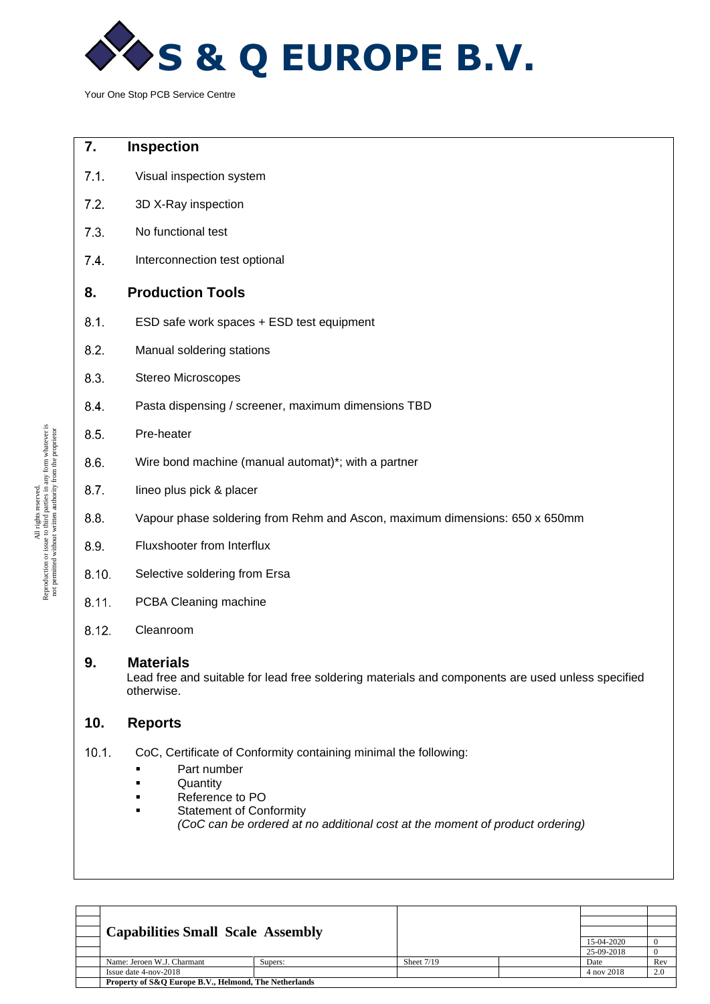

#### **7. Inspection**

- $7.1.$ Visual inspection system
- $7.2.$ 3D X-Ray inspection
- $7.3.$ No functional test
- $7.4.$ Interconnection test optional

#### **8. Production Tools**

- $8.1.$ ESD safe work spaces + ESD test equipment
- $8.2.$ Manual soldering stations
- $8.3.$ Stereo Microscopes
- $8.4.$ Pasta dispensing / screener, maximum dimensions TBD

#### $8.5.$ Pre-heater

- $8.6.$ Wire bond machine (manual automat)\*; with a partner
- $8.7.$ Iineo plus pick & placer
- $8.8.$ Vapour phase soldering from Rehm and Ascon, maximum dimensions: 650 x 650mm
- $8.9.$ Fluxshooter from Interflux
- $8.10.$ Selective soldering from Ersa
- $8.11.$ PCBA Cleaning machine
- $8.12.$ Cleanroom

#### **9. Materials**

Lead free and suitable for lead free soldering materials and components are used unless specified otherwise.

#### **10. Reports**

- $10.1$ CoC, Certificate of Conformity containing minimal the following:
	- Part number
	- **Quantity**
	- Reference to PO
	- **Statement of Conformity** 
		- *(CoC can be ordered at no additional cost at the moment of product ordering)*

|  | <b>Capabilities Small Scale Assembly</b>              |         |              |  |            |     |
|--|-------------------------------------------------------|---------|--------------|--|------------|-----|
|  |                                                       |         |              |  |            |     |
|  |                                                       |         |              |  |            |     |
|  |                                                       |         |              |  | 15-04-2020 |     |
|  |                                                       |         |              |  | 25-09-2018 |     |
|  | Name: Jeroen W.J. Charmant                            | Supers: | Sheet $7/19$ |  | Date       | Rev |
|  | Issue date $4$ -nov-2018                              |         |              |  | 4 nov 2018 | 2.0 |
|  | Property of S&O Europe B.V., Helmond, The Netherlands |         |              |  |            |     |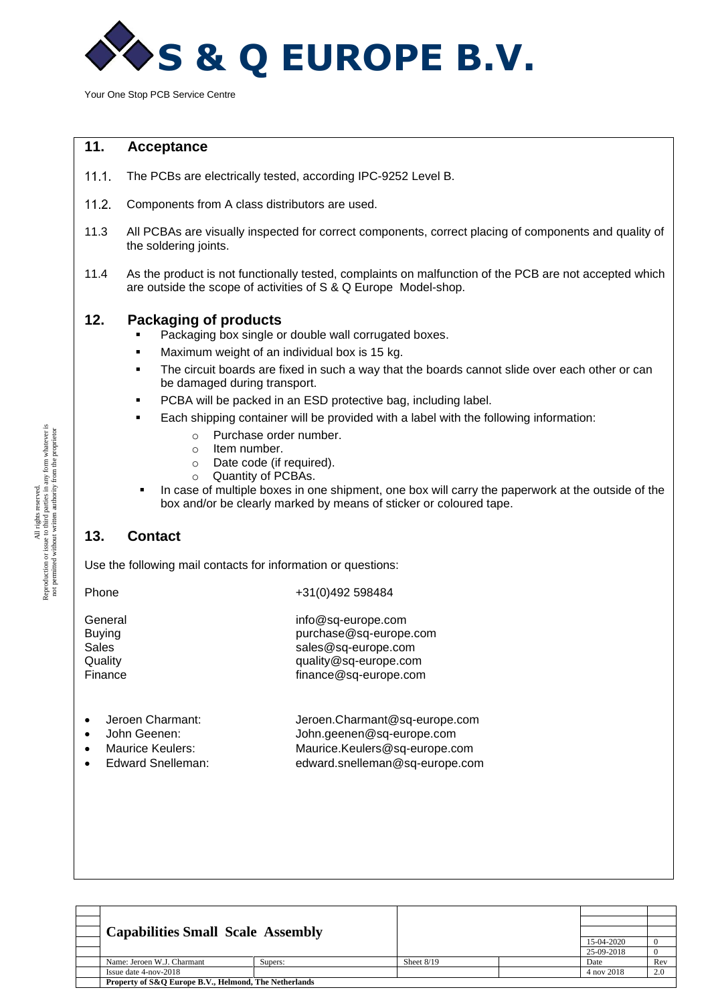

#### **11. Acceptance**

- $11.1$ The PCBs are electrically tested, according IPC-9252 Level B.
- $11.2.$ Components from A class distributors are used.
- 11.3 All PCBAs are visually inspected for correct components, correct placing of components and quality of the soldering joints.
- 11.4 As the product is not functionally tested, complaints on malfunction of the PCB are not accepted which are outside the scope of activities of S & Q Europe Model-shop.

#### **12. Packaging of products**

- Packaging box single or double wall corrugated boxes.
- Maximum weight of an individual box is 15 kg.
- The circuit boards are fixed in such a way that the boards cannot slide over each other or can be damaged during transport.
- PCBA will be packed in an ESD protective bag, including label.
- Each shipping container will be provided with a label with the following information:
	- o Purchase order number.
	- o Item number.
	- o Date code (if required).
	- o Quantity of PCBAs.
- In case of multiple boxes in one shipment, one box will carry the paperwork at the outside of the box and/or be clearly marked by means of sticker or coloured tape.

#### **13. Contact**

Use the following mail contacts for information or questions:

| Phone                                            | +31(0)492 598484                                                                                                      |
|--------------------------------------------------|-----------------------------------------------------------------------------------------------------------------------|
| General<br>Buying<br>Sales<br>Quality<br>Finance | info@sq-europe.com<br>purchase@sq-europe.com<br>sales@sq-europe.com<br>quality@sq-europe.com<br>finance@sq-europe.com |
|                                                  |                                                                                                                       |

- Jeroen Charmant: Jeroen.Charmant@sq-europe.com
- John Geenen: John.geenen@sq-europe.com
- Maurice Keulers: Maurice.Keulers@sq-europe.com
- Edward Snelleman: edward.snelleman@sq-europe.com

| <b>Capabilities Small Scale Assembly</b>              |         |              |  |            |     |  |  |  |  |
|-------------------------------------------------------|---------|--------------|--|------------|-----|--|--|--|--|
|                                                       |         |              |  | 15-04-2020 |     |  |  |  |  |
|                                                       |         |              |  | 25-09-2018 |     |  |  |  |  |
| Name: Jeroen W.J. Charmant                            | Supers: | Sheet $8/19$ |  | Date       | Rev |  |  |  |  |
| Issue date 4-nov-2018                                 |         |              |  | 4 nov 2018 | 2.0 |  |  |  |  |
| Property of S&Q Europe B.V., Helmond, The Netherlands |         |              |  |            |     |  |  |  |  |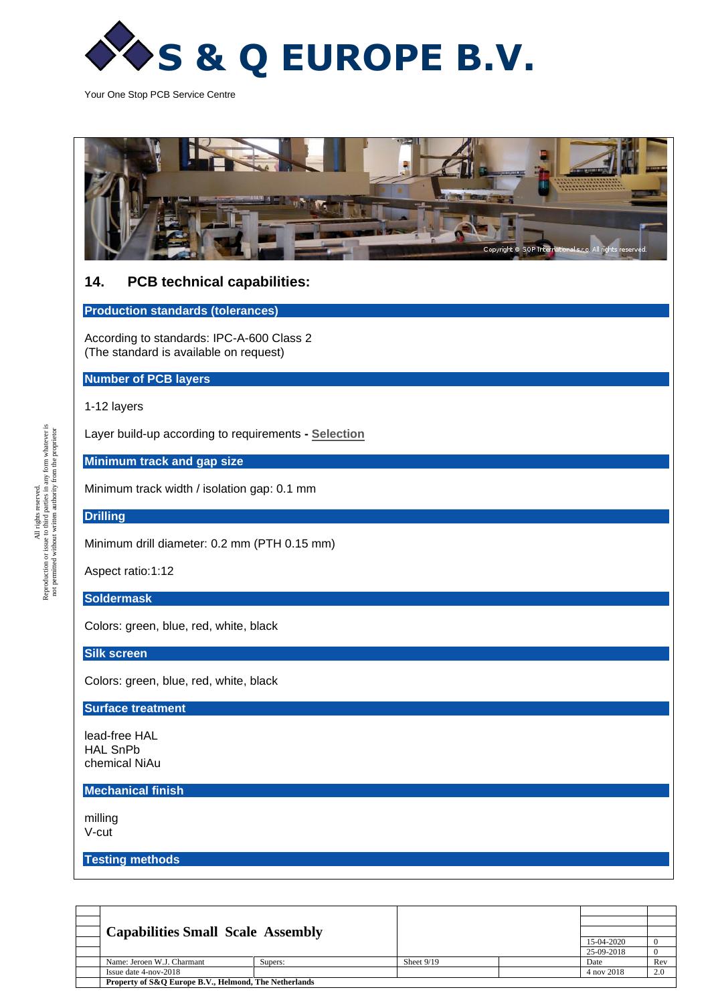



# **14. PCB technical capabilities:**

**Production standards (tolerances)**

According to standards: IPC-A-600 Class 2 (The standard is available on request)

#### **Number of PCB layers**

1-12 layers

Layer build-up according to requirements **- [Selection](http://www.sqpinternational.com/base_materials.php)**

**Minimum track and gap size**

Minimum track width / isolation gap: 0.1 mm

#### **Drilling**

Minimum drill diameter: 0.2 mm (PTH 0.15 mm)

Aspect ratio:1:12

#### **Soldermask**

Colors: green, blue, red, white, black

#### **Silk screen**

Colors: green, blue, red, white, black

#### **Surface treatment**

lead-free HAL HAL SnPb chemical NiAu

#### **Mechanical finish**

milling V-cut

**Testing methods**

| <b>Capabilities Small Scale Assembly</b>              |         |              |            |     |
|-------------------------------------------------------|---------|--------------|------------|-----|
|                                                       |         |              | 15-04-2020 |     |
|                                                       |         |              | 25-09-2018 |     |
| Name: Jeroen W.J. Charmant                            | Supers: | Sheet $9/19$ | Date       | Rev |
| Issue date 4-nov-2018                                 |         |              | 4 nov 2018 | 2.0 |
| Property of S&O Europe B.V., Helmond, The Netherlands |         |              |            |     |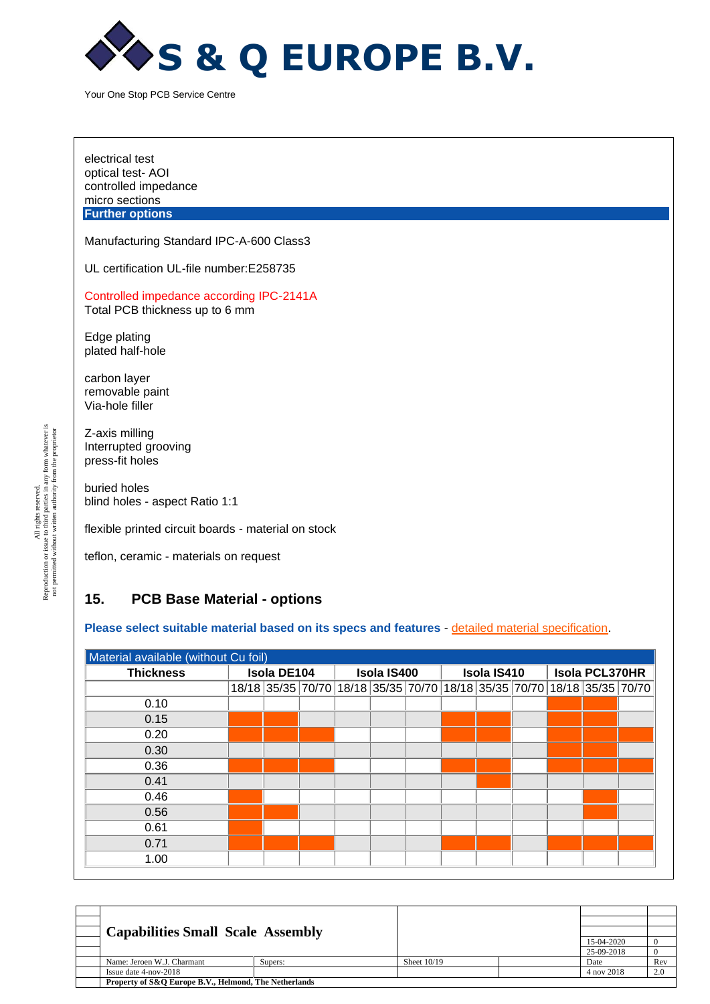

electrical test optical test- AOI controlled impedance micro sections **Further options**

Manufacturing Standard IPC-A-600 Class3

UL certification UL-file number:E258735

Controlled impedance according IPC-2141A Total PCB thickness up to 6 mm

Edge plating plated half-hole

carbon layer removable paint Via-hole filler

Z-axis milling Interrupted grooving press-fit holes

buried holes blind holes - aspect Ratio 1:1

flexible printed circuit boards - material on stock

teflon, ceramic - materials on request

# **15. PCB Base Material - options**

#### **Please select suitable material based on its specs and features** - [detailed material specification.](http://www.sqpinternational.com/terminologia_dps.php)

| Material available (without Cu foil) |  |                                                                         |  |  |             |  |  |             |  |  |                |  |
|--------------------------------------|--|-------------------------------------------------------------------------|--|--|-------------|--|--|-------------|--|--|----------------|--|
| <b>Thickness</b>                     |  | Isola DE104                                                             |  |  | Isola IS400 |  |  | Isola IS410 |  |  | Isola PCL370HR |  |
|                                      |  | 18/18 35/35 70/70 18/18 35/35 70/70 18/18 35/35 70/70 18/18 35/35 70/70 |  |  |             |  |  |             |  |  |                |  |
| 0.10                                 |  |                                                                         |  |  |             |  |  |             |  |  |                |  |
| 0.15                                 |  |                                                                         |  |  |             |  |  |             |  |  |                |  |
| 0.20                                 |  |                                                                         |  |  |             |  |  |             |  |  |                |  |
| 0.30                                 |  |                                                                         |  |  |             |  |  |             |  |  |                |  |
| 0.36                                 |  |                                                                         |  |  |             |  |  |             |  |  |                |  |
| 0.41                                 |  |                                                                         |  |  |             |  |  |             |  |  |                |  |
| 0.46                                 |  |                                                                         |  |  |             |  |  |             |  |  |                |  |
| 0.56                                 |  |                                                                         |  |  |             |  |  |             |  |  |                |  |
| 0.61                                 |  |                                                                         |  |  |             |  |  |             |  |  |                |  |
| 0.71                                 |  |                                                                         |  |  |             |  |  |             |  |  |                |  |
| 1.00                                 |  |                                                                         |  |  |             |  |  |             |  |  |                |  |

| <b>Capabilities Small Scale Assembly</b>              |         |               |  |            |     |  |  |  |  |
|-------------------------------------------------------|---------|---------------|--|------------|-----|--|--|--|--|
|                                                       |         |               |  | 15-04-2020 |     |  |  |  |  |
|                                                       |         |               |  | 25-09-2018 |     |  |  |  |  |
| Name: Jeroen W.J. Charmant                            | Supers: | Sheet $10/19$ |  | Date       | Rev |  |  |  |  |
| Issue date 4-nov-2018                                 |         |               |  | 4 nov 2018 | 2.0 |  |  |  |  |
| Property of S&O Europe B.V., Helmond, The Netherlands |         |               |  |            |     |  |  |  |  |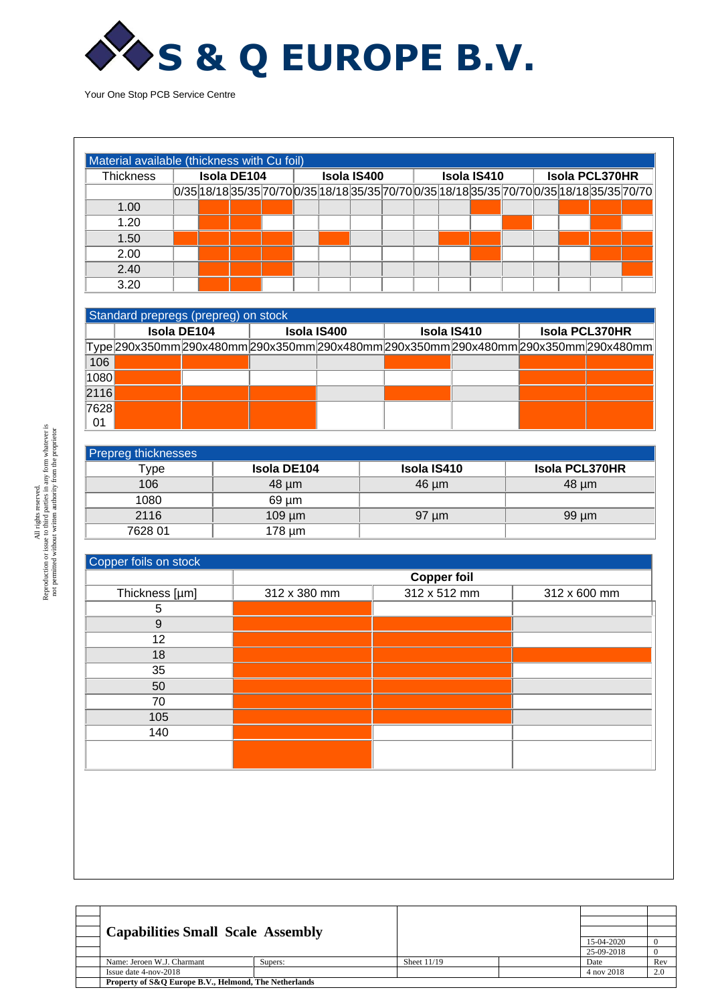

| Material available (thickness with Cu foil) |  |  |                    |  |  |             |  |  |             |  |  |                       |  |  |                                                                                             |
|---------------------------------------------|--|--|--------------------|--|--|-------------|--|--|-------------|--|--|-----------------------|--|--|---------------------------------------------------------------------------------------------|
| <b>Thickness</b>                            |  |  | <b>Isola DE104</b> |  |  | Isola IS400 |  |  | Isola IS410 |  |  | <b>Isola PCL370HR</b> |  |  |                                                                                             |
|                                             |  |  |                    |  |  |             |  |  |             |  |  |                       |  |  | 0/35 18/18 35/35 70/70 0/35 18/18 35/35 70/70 0/35 18/18 35/35 70/70 0/35 18/18 35/35 70/70 |
| 1.00                                        |  |  |                    |  |  |             |  |  |             |  |  |                       |  |  |                                                                                             |
| 1.20                                        |  |  |                    |  |  |             |  |  |             |  |  |                       |  |  |                                                                                             |
| 1.50                                        |  |  |                    |  |  |             |  |  |             |  |  |                       |  |  |                                                                                             |
| 2.00                                        |  |  |                    |  |  |             |  |  |             |  |  |                       |  |  |                                                                                             |
| 2.40                                        |  |  |                    |  |  |             |  |  |             |  |  |                       |  |  |                                                                                             |
| 3.20                                        |  |  |                    |  |  |             |  |  |             |  |  |                       |  |  |                                                                                             |

|      | Standard prepregs (prepreg) on stock |             |  |             |  |             |                       |                                                                                      |  |  |  |  |  |  |
|------|--------------------------------------|-------------|--|-------------|--|-------------|-----------------------|--------------------------------------------------------------------------------------|--|--|--|--|--|--|
|      |                                      | Isola DE104 |  | Isola IS400 |  | Isola IS410 | <b>Isola PCL370HR</b> |                                                                                      |  |  |  |  |  |  |
|      |                                      |             |  |             |  |             |                       | Type 290x350mm 290x480mm 290x350mm 290x480mm 290x350mm 290x480mm 290x350mm 290x480mm |  |  |  |  |  |  |
| 106  |                                      |             |  |             |  |             |                       |                                                                                      |  |  |  |  |  |  |
| 1080 |                                      |             |  |             |  |             |                       |                                                                                      |  |  |  |  |  |  |
| 2116 |                                      |             |  |             |  |             |                       |                                                                                      |  |  |  |  |  |  |
| 7628 |                                      |             |  |             |  |             |                       |                                                                                      |  |  |  |  |  |  |
| 01   |                                      |             |  |             |  |             |                       |                                                                                      |  |  |  |  |  |  |

| <b>Prepreg thicknesses</b> |             |             |                       |
|----------------------------|-------------|-------------|-----------------------|
| Type                       | Isola DE104 | Isola IS410 | <b>Isola PCL370HR</b> |
| 106                        | $48 \mu m$  | $46 \mu m$  | $48 \mu m$            |
| 1080                       | $69 \mu m$  |             |                       |
| 2116                       | $109 \mu m$ | 97 um       | $99 \mu m$            |
| 7628 01                    | 178 um      |             |                       |

| Copper foils on stock |              |                    |              |
|-----------------------|--------------|--------------------|--------------|
|                       |              | <b>Copper foil</b> |              |
| Thickness [µm]        | 312 x 380 mm | 312 x 512 mm       | 312 x 600 mm |
| 5                     |              |                    |              |
| 9                     |              |                    |              |
| 12                    |              |                    |              |
| 18                    |              |                    |              |
| 35                    |              |                    |              |
| 50                    |              |                    |              |
| 70                    |              |                    |              |
| 105                   |              |                    |              |
| 140                   |              |                    |              |
|                       |              |                    |              |
|                       |              |                    |              |

| <b>Capabilities Small Scale Assembly</b>              |         |             |            |     |
|-------------------------------------------------------|---------|-------------|------------|-----|
|                                                       |         |             | 15-04-2020 |     |
|                                                       |         |             | 25-09-2018 |     |
| Name: Jeroen W.J. Charmant                            | Supers: | Sheet 11/19 | Date       | Rev |
| Issue date 4-nov-2018                                 |         |             | 4 nov 2018 | 2.0 |
| Property of S&Q Europe B.V., Helmond, The Netherlands |         |             |            |     |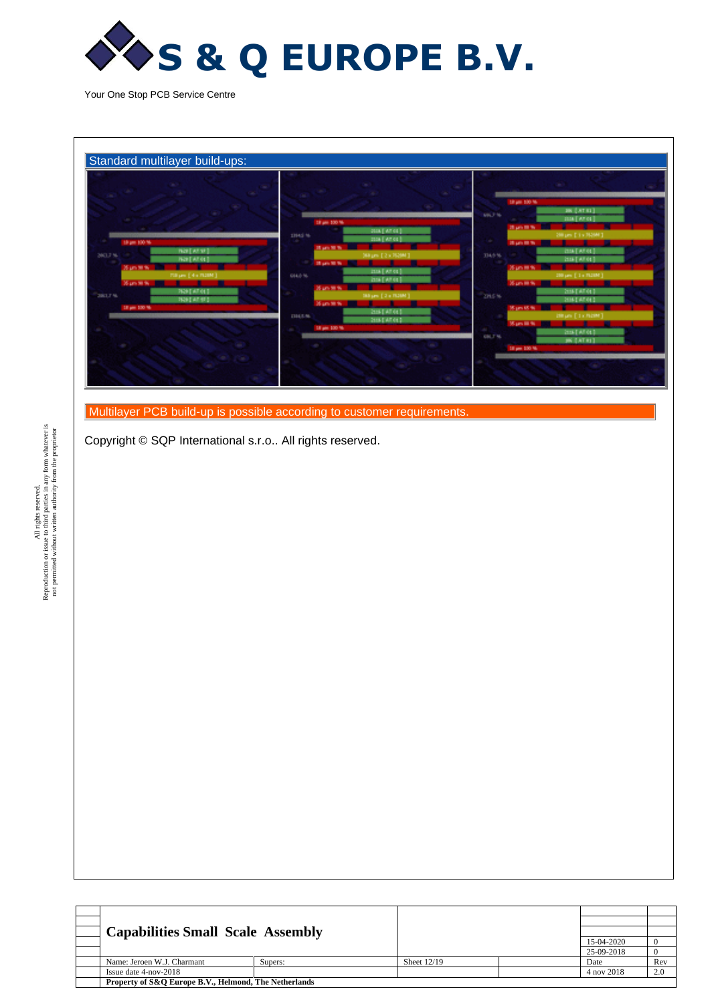



Multilayer PCB build-up is possible according to customer requirements.

Copyright © SQP International s.r.o.. All rights reserved.

| <b>Capabilities Small Scale Assembly</b>              |         |               |            |     |
|-------------------------------------------------------|---------|---------------|------------|-----|
|                                                       |         |               | 15-04-2020 |     |
|                                                       |         |               | 25-09-2018 |     |
| Name: Jeroen W.J. Charmant                            | Supers: | Sheet $12/19$ | Date       | Rev |
| Issue date 4-nov-2018                                 |         |               | 4 nov 2018 | 2.0 |
| Property of S&O Europe B.V., Helmond, The Netherlands |         |               |            |     |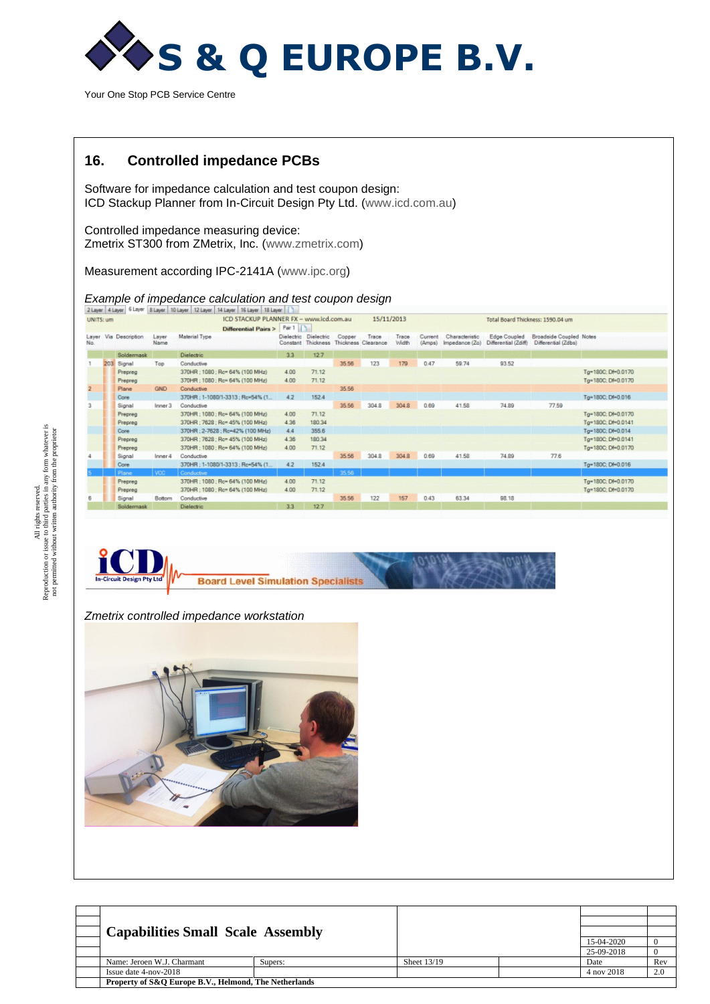

# **16. Controlled impedance PCBs**

Software for impedance calculation and test coupon design: ICD Stackup Planner from In-Circuit Design Pty Ltd. [\(www.icd.com.au\)](http://www.icd.com.au/)

Controlled impedance measuring device: Zmetrix ST300 from ZMetrix, Inc. [\(www.zmetrix.com\)](http://www.zmetrix.com/)

Measurement according IPC-2141A [\(www.ipc.org\)](http://www.ipc.org/toc/ipc-2141a.pdf)

#### *Example of impedance calculation and test coupon design*

|                |                       |                | 14 Layer 16 Layer 18 Layer<br>2 Layer 4 Layer 6 Layer 8 Layer 10 Layer 12 Layer |              |                                    |        |                              |                |                   |                                  |                                      |                                                       |                                          |
|----------------|-----------------------|----------------|---------------------------------------------------------------------------------|--------------|------------------------------------|--------|------------------------------|----------------|-------------------|----------------------------------|--------------------------------------|-------------------------------------------------------|------------------------------------------|
| UNITS: um      |                       |                | ICD STACKUP PLANNER FX - www.icd.com.au<br>Differential Pairs > Par 1           |              |                                    |        | 15/11/2013                   |                |                   |                                  |                                      | Total Board Thickness: 1590.04 um                     |                                          |
| No.            | Laver Via Description | Layer<br>Name. | Material Type                                                                   | Constant     | Dielectric Dielectric<br>Thickness | Copper | Trace<br>Thickness Clearance | Trace<br>Width | Current<br>(Amps) | Characteristic<br>Impedance (Zo) | Edge Coupled<br>Differential (Zdiff) | <b>Broadside Coupled Notes</b><br>Differential (Zdbs) |                                          |
|                | Soldermask            |                | <b>Dielectric</b>                                                               | 3.3          | 127                                |        |                              |                |                   |                                  |                                      |                                                       |                                          |
|                | 203 Signal            | Top            | Conductive                                                                      |              |                                    | 35.56  | 123                          | 179            | 0.47              | 59.74                            | 93.52                                |                                                       |                                          |
|                | Prepreg<br>Prepreg    |                | 370HR: 1080: Rc= 64% (100 MHz)<br>370HR: 1080: Rc= 64% (100 MHz).               | 4.00<br>4.00 | 71.12<br>71.12                     |        |                              |                |                   |                                  |                                      |                                                       | Tg=180C: Df=0.0170<br>Tg=180C: Df=0.0170 |
| $\overline{2}$ | Plane                 | <b>GND</b>     | Conductive                                                                      |              |                                    | 35.56  |                              |                |                   |                                  |                                      |                                                       |                                          |
|                | Core                  |                | 370HR: 1-1080/1-3313: Rc=54% (1                                                 | 4.2          | 152.4                              |        |                              |                |                   |                                  |                                      |                                                       | Tg=180C; Df=0.016                        |
| 3              | Signal                | Inner 3        | Conductive                                                                      |              |                                    | 35.56  | 304.8                        | 304.8          | 0.69              | 41.58                            | 74.89                                | 77.59                                                 |                                          |
|                | Prepreg<br>Prepreg    |                | 370HR: 1080: Rc= 64% (100 MHz)<br>370HR : 7628 ; Rc= 45% (100 MHz)              | 4.00<br>4.36 | 71.12<br>180.34                    |        |                              |                |                   |                                  |                                      |                                                       | Tg=180C: Df=0.0170<br>Tg=180C: Df=0.0141 |
|                | Core                  |                | 370HR: 2-7628: Rc=42% (100 MHz)                                                 | 4.4          | 355.6                              |        |                              |                |                   |                                  |                                      |                                                       | Tg=180C: Df=0.014                        |
|                | Prepreg<br>Prepreg    |                | 370HR ; 7628 ; Rc= 45% (100 MHz)<br>370HR: 1080: Rc= 64% (100 MHz)              | 4.36<br>4.00 | 180 34<br>71.12                    |        |                              |                |                   |                                  |                                      |                                                       | Tg=180C; Df=0.0141<br>Tg=180C: Df=0.0170 |
| 4              | Signal                | Inner 4        | Conductive                                                                      |              |                                    | 35.56  | 304.8                        | 304.8          | 0.69              | 41.58                            | 74.89                                | 77.6                                                  |                                          |
|                | Core                  |                | 370HR: 1-1080/1-3313: Rc=54% (1                                                 | 4.2          | 152.4                              |        |                              |                |                   |                                  |                                      |                                                       | Tg=180C: Df=0.016                        |
|                | Plane                 | VCC.           | Conductive                                                                      |              |                                    | 35.56  |                              |                |                   |                                  |                                      |                                                       |                                          |
|                | Prepreg               |                | 370HR: 1080: Rc= 64% (100 MHz)                                                  | 4.00         | 71.12                              |        |                              |                |                   |                                  |                                      |                                                       | Tg=180C: Df=0.0170                       |
|                | Prepreg               |                | 370HR: 1080: Rc= 64% (100 MHz)                                                  | 4.00.        | 71.12                              |        |                              |                |                   |                                  |                                      |                                                       | Tg=180C: Df=0.0170                       |
| 6              | Signal                | Bottom         | Conductive                                                                      |              |                                    | 35.56  | 122                          | 157            | 0.43              | 63.34                            | 98.18                                |                                                       |                                          |
|                | Soldermask            |                | <b>Dielectric</b>                                                               | 3.3          | 12.7                               |        |                              |                |                   |                                  |                                      |                                                       |                                          |



#### *Zmetrix controlled impedance workstation*



| <b>Capabilities Small Scale Assembly</b>              |         |             |  |            |     |  |  |  |
|-------------------------------------------------------|---------|-------------|--|------------|-----|--|--|--|
|                                                       |         |             |  | 15-04-2020 |     |  |  |  |
|                                                       |         |             |  | 25-09-2018 |     |  |  |  |
| Name: Jeroen W.J. Charmant                            | Supers: | Sheet 13/19 |  | Date       | Rev |  |  |  |
| Issue date $4$ -nov-2018                              |         |             |  | 4 nov 2018 | 2.0 |  |  |  |
| Property of S&O Europe B.V., Helmond, The Netherlands |         |             |  |            |     |  |  |  |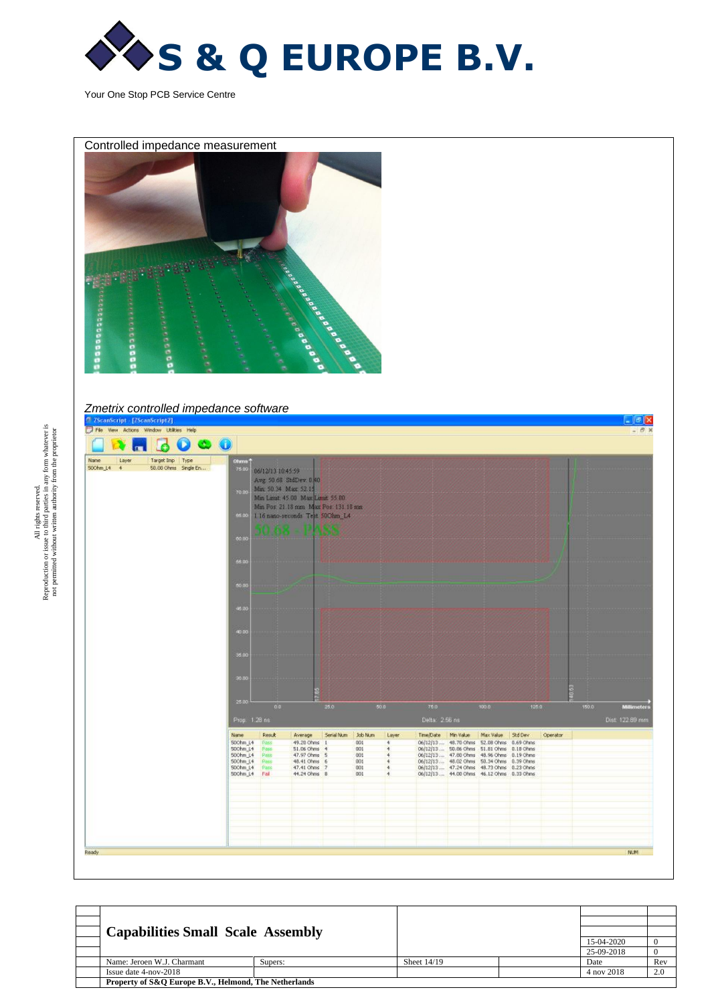



*Zmetrix controlled impedance software*



|  | <b>Capabilities Small Scale Assembly</b>              |         |               |            |     |
|--|-------------------------------------------------------|---------|---------------|------------|-----|
|  |                                                       |         |               |            |     |
|  |                                                       |         |               | 15-04-2020 |     |
|  |                                                       |         |               | 25-09-2018 |     |
|  | Name: Jeroen W.J. Charmant                            | Supers: | Sheet $14/19$ | Date       | Rev |
|  | Issue date 4-nov-2018                                 |         |               | 4 nov 2018 | 2.0 |
|  | Property of S&O Europe B.V., Helmond, The Netherlands |         |               |            |     |

 $All right is reserved.$  Reproduction or issue to third parties in any form whatever is<br>not permitted without written authority from the proprietor Reproduction or issue to third parties in any form whatever is not permitted without written authority from the proprietor All rights reserved.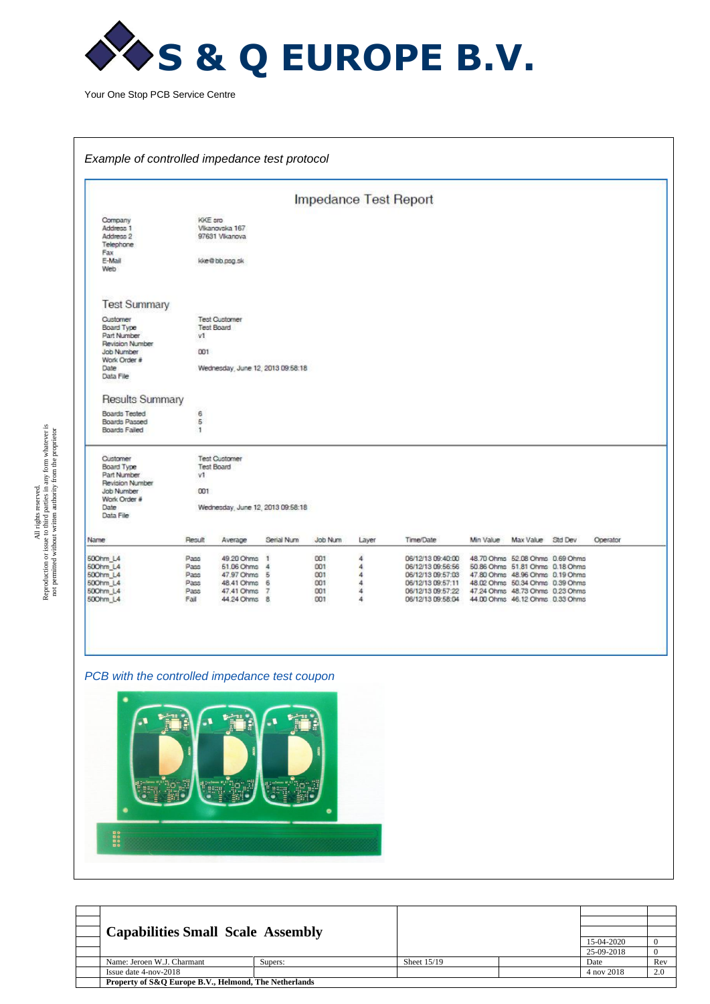

| Data File                                                           |             |                                           |                              |  |  |  |
|---------------------------------------------------------------------|-------------|-------------------------------------------|------------------------------|--|--|--|
| <b>Revision Number</b><br><b>Job Number</b><br>Work Order #<br>Date | 001         | Wednesday, June 12, 2013 09:58:18         |                              |  |  |  |
| Customer<br>Board Type<br>Part Number                               | V1          | <b>Test Customer</b><br><b>Test Board</b> |                              |  |  |  |
| Boards Tested<br>Boards Passed<br>Boards Failed                     | 6<br>5<br>1 |                                           |                              |  |  |  |
| Results Summary                                                     |             |                                           |                              |  |  |  |
| Date<br>Data File                                                   |             | Wednesday, June 12, 2013 09:58:18         |                              |  |  |  |
| Revision Number<br><b>Job Number</b><br>Work Order #                | 001         |                                           |                              |  |  |  |
| <b>Board Type</b><br>Part Number                                    | v1          | <b>Test Board</b>                         |                              |  |  |  |
| <b>Test Summary</b><br>Customer                                     |             | <b>Test Customer</b>                      |                              |  |  |  |
| Web                                                                 |             |                                           |                              |  |  |  |
| Telephone<br>Fax<br>E-Mail                                          |             | kke@bb.psg.sk                             |                              |  |  |  |
| Company<br>Address 1<br>Address 2                                   | KKE aro     | Vikanovska 167<br>97631 Vlkanova          |                              |  |  |  |
|                                                                     |             |                                           | <b>Impedance Test Report</b> |  |  |  |



| <b>Capabilities Small Scale Assembly</b>              |         |             |            |     |
|-------------------------------------------------------|---------|-------------|------------|-----|
|                                                       |         |             | 15-04-2020 |     |
|                                                       |         |             | 25-09-2018 |     |
| Name: Jeroen W.J. Charmant                            | Supers: | Sheet 15/19 | Date       | Rev |
| Issue date $4$ -nov-2018                              |         |             | 4 nov 2018 | 2.0 |
| Property of S&O Europe B.V., Helmond, The Netherlands |         |             |            |     |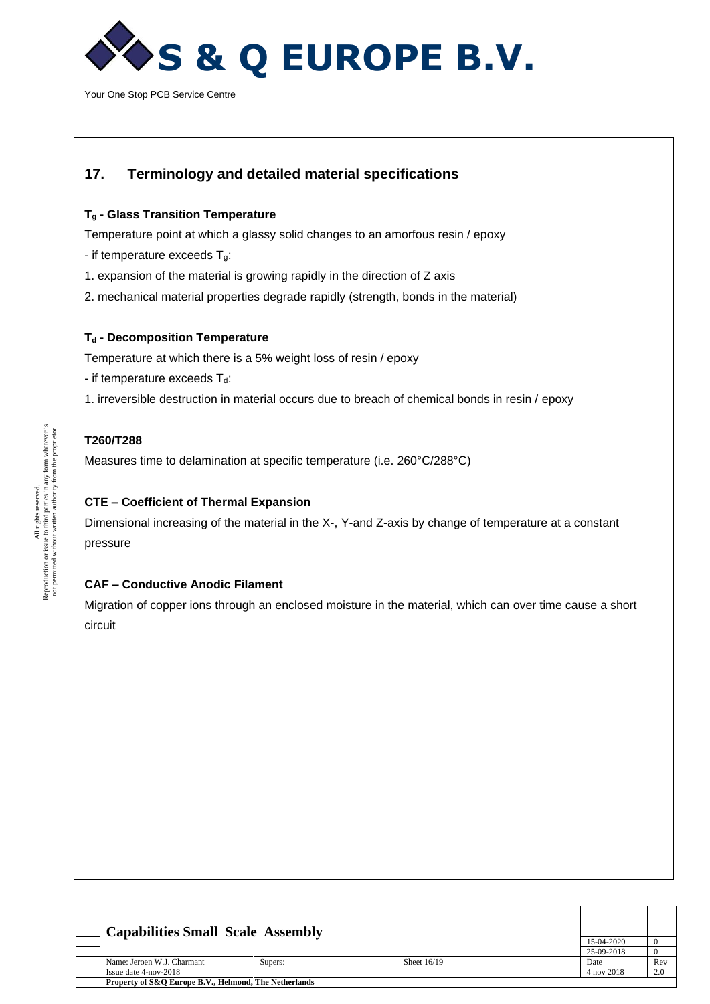

# **17. Terminology and detailed material specifications**

#### **T<sup>g</sup> - Glass Transition Temperature**

Temperature point at which a glassy solid changes to an amorfous resin / epoxy

- if temperature exceeds  $T<sub>g</sub>$ :
- 1. expansion of the material is growing rapidly in the direction of Z axis
- 2. mechanical material properties degrade rapidly (strength, bonds in the material)

#### **T<sup>d</sup> - Decomposition Temperature**

Temperature at which there is a 5% weight loss of resin / epoxy

- if temperature exceeds  $T_d$ :
- 1. irreversible destruction in material occurs due to breach of chemical bonds in resin / epoxy

#### **T260/T288**

Measures time to delamination at specific temperature (i.e. 260°C/288°C)

#### **CTE – Coefficient of Thermal Expansion**

Dimensional increasing of the material in the X-, Y-and Z-axis by change of temperature at a constant pressure

#### **CAF – Conductive Anodic Filament**

Migration of copper ions through an enclosed moisture in the material, which can over time cause a short circuit

| <b>Capabilities Small Scale Assembly</b>              |         |             |            |     |
|-------------------------------------------------------|---------|-------------|------------|-----|
|                                                       |         |             | 15-04-2020 |     |
|                                                       |         |             | 25-09-2018 |     |
| Name: Jeroen W.J. Charmant                            | Supers: | Sheet 16/19 | Date       | Rev |
| Issue date $4$ -nov- $2018$                           |         |             | 4 nov 2018 | 2.0 |
| Property of S&Q Europe B.V., Helmond, The Netherlands |         |             |            |     |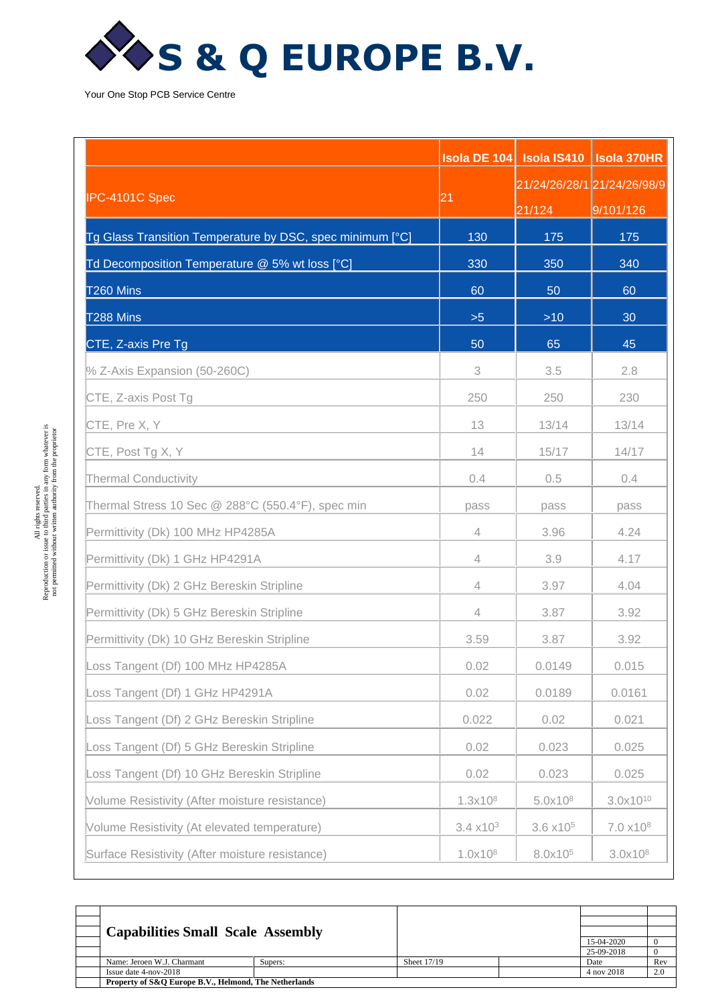

|                                                           |                     |                      | Isola DE 104   Isola IS410   Isola 370HR |
|-----------------------------------------------------------|---------------------|----------------------|------------------------------------------|
| IPC-4101C Spec                                            | $\overline{21}$     | 21/124               | 21/24/26/28/1 21/24/26/98/9<br>9/101/126 |
| Tg Glass Transition Temperature by DSC, spec minimum [°C] | 130                 | 175                  | 175                                      |
| Td Decomposition Temperature @ 5% wt loss [°C]            | 330                 | 350                  | 340                                      |
| T260 Mins                                                 | 60                  | 50                   | 60                                       |
| T288 Mins                                                 | >5                  | $>10$                | 30                                       |
| CTE, Z-axis Pre Tg                                        | 50                  | 65                   | 45                                       |
| % Z-Axis Expansion (50-260C)                              | 3                   | 3.5                  | 2.8                                      |
| CTE, Z-axis Post Tg                                       | 250                 | 250                  | 230                                      |
| CTE, Pre X, Y                                             | 13                  | 13/14                | 13/14                                    |
| CTE, Post Tg X, Y                                         | 14                  | 15/17                | 14/17                                    |
| <b>Thermal Conductivity</b>                               | 0.4                 | 0.5                  | 0.4                                      |
| Thermal Stress 10 Sec @ 288°C (550.4°F), spec min         | pass                | pass                 | pass                                     |
| Permittivity (Dk) 100 MHz HP4285A                         | $\overline{4}$      | 3.96                 | 4.24                                     |
| Permittivity (Dk) 1 GHz HP4291A                           | $\overline{4}$      | 3.9                  | 4.17                                     |
| Permittivity (Dk) 2 GHz Bereskin Stripline                | $\overline{4}$      | 3.97                 | 4.04                                     |
| Permittivity (Dk) 5 GHz Bereskin Stripline                | $\overline{4}$      | 3.87                 | 3.92                                     |
| Permittivity (Dk) 10 GHz Bereskin Stripline               | 3.59                | 3.87                 | 3.92                                     |
| Loss Tangent (Df) 100 MHz HP4285A                         | 0.02                | 0.0149               | 0.015                                    |
| Loss Tangent (Df) 1 GHz HP4291A                           | 0.02                | 0.0189               | 0.0161                                   |
| Loss Tangent (Df) 2 GHz Bereskin Stripline                | 0.022               | 0.02                 | 0.021                                    |
| Loss Tangent (Df) 5 GHz Bereskin Stripline                | 0.02                | 0.023                | 0.025                                    |
| Loss Tangent (Df) 10 GHz Bereskin Stripline               | 0.02                | 0.023                | 0.025                                    |
| Volume Resistivity (After moisture resistance)            | $1.3x10^{8}$        | 5.0x10 <sup>8</sup>  | 3.0x10 <sup>10</sup>                     |
| Volume Resistivity (At elevated temperature)              | $3.4 \times 10^{3}$ | 3.6 x10 <sup>5</sup> | 7.0 x10 <sup>8</sup>                     |
| Surface Resistivity (After moisture resistance)           | 1.0x10 <sup>8</sup> | 8.0x10 <sup>5</sup>  | 3.0x10 <sup>8</sup>                      |

| <b>Capabilities Small Scale Assembly</b>              |         |             |            |     |
|-------------------------------------------------------|---------|-------------|------------|-----|
|                                                       |         |             | 15-04-2020 |     |
|                                                       |         |             | 25-09-2018 |     |
| Name: Jeroen W.J. Charmant                            | Supers: | Sheet 17/19 | Date       | Rev |
| Issue date $4$ -nov-2018                              |         |             | 4 nov 2018 | 2.0 |
| Property of S&O Europe B.V., Helmond, The Netherlands |         |             |            |     |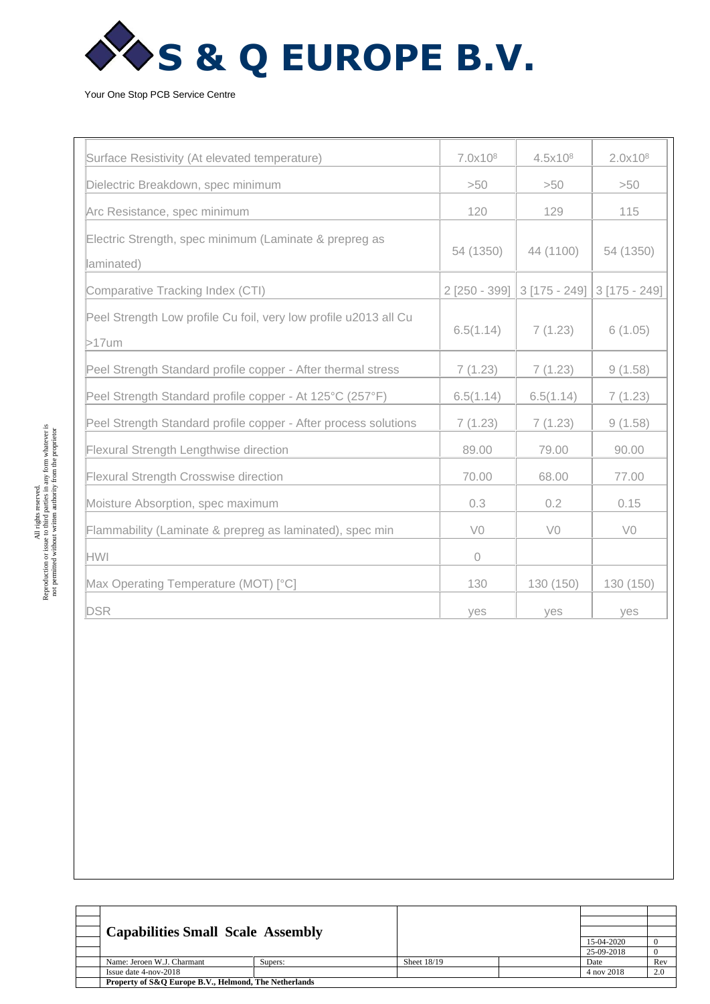

| Surface Resistivity (At elevated temperature)                                | 7.0x10 <sup>8</sup> | 4.5x10 <sup>8</sup> | 2.0x10 <sup>8</sup> |
|------------------------------------------------------------------------------|---------------------|---------------------|---------------------|
| Dielectric Breakdown, spec minimum                                           | >50                 | >50                 | >50                 |
| Arc Resistance, spec minimum                                                 | 120                 | 129                 | 115                 |
| Electric Strength, spec minimum (Laminate & prepreg as<br>laminated)         | 54 (1350)           | 44 (1100)           | 54 (1350)           |
| Comparative Tracking Index (CTI)                                             | 2 [250 - 399]       | 3 [175 - 249]       | 3 [175 - 249]       |
| Peel Strength Low profile Cu foil, very low profile u2013 all Cu<br>$>17$ um | 6.5(1.14)           | 7(1.23)             | 6(1.05)             |
| Peel Strength Standard profile copper - After thermal stress                 | 7(1.23)             | 7(1.23)             | 9(1.58)             |
| Peel Strength Standard profile copper - At 125°C (257°F)                     | 6.5(1.14)           | 6.5(1.14)           | 7(1.23)             |
| Peel Strength Standard profile copper - After process solutions              | 7(1.23)             | 7(1.23)             | 9(1.58)             |
| Flexural Strength Lengthwise direction                                       | 89.00               | 79.00               | 90.00               |
| <b>Flexural Strength Crosswise direction</b>                                 | 70.00               | 68.00               | 77.00               |
| Moisture Absorption, spec maximum                                            | 0.3                 | 0.2                 | 0.15                |
| Flammability (Laminate & prepreg as laminated), spec min                     | V <sub>0</sub>      | V <sub>0</sub>      | V0                  |
| <b>HWI</b>                                                                   | $\overline{O}$      |                     |                     |
| Max Operating Temperature (MOT) [°C]                                         | 130                 | 130 (150)           | 130 (150)           |
| <b>DSR</b>                                                                   | yes                 | yes                 | yes                 |

|  | <b>Capabilities Small Scale Assembly</b>              |         |             | 15-04-2020<br>25-09-2018 |     |
|--|-------------------------------------------------------|---------|-------------|--------------------------|-----|
|  | Name: Jeroen W.J. Charmant                            | Supers: | Sheet 18/19 | Date                     | Rev |
|  | Issue date 4-nov-2018                                 |         |             | 4 nov 2018               | 2.0 |
|  | Property of S&Q Europe B.V., Helmond, The Netherlands |         |             |                          |     |